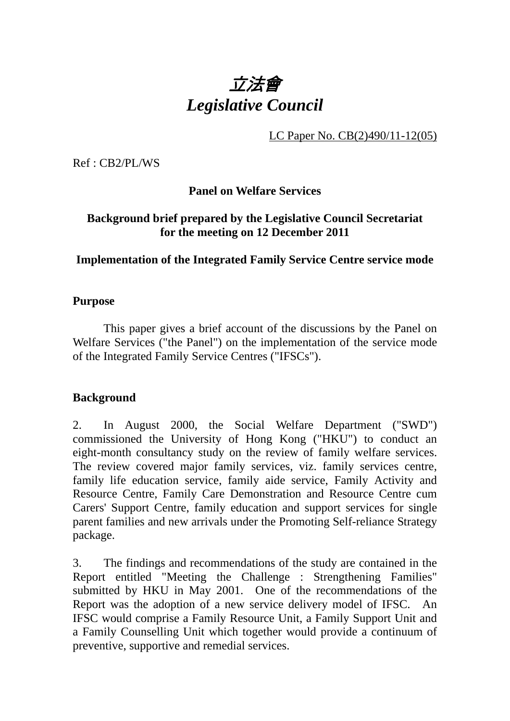# 立法會 *Legislative Council*

LC Paper No. CB(2)490/11-12(05)

Ref : CB2/PL/WS

**Panel on Welfare Services** 

# **Background brief prepared by the Legislative Council Secretariat for the meeting on 12 December 2011**

# **Implementation of the Integrated Family Service Centre service mode**

### **Purpose**

This paper gives a brief account of the discussions by the Panel on Welfare Services ("the Panel") on the implementation of the service mode of the Integrated Family Service Centres ("IFSCs").

### **Background**

2. In August 2000, the Social Welfare Department ("SWD") commissioned the University of Hong Kong ("HKU") to conduct an eight-month consultancy study on the review of family welfare services. The review covered major family services, viz. family services centre, family life education service, family aide service, Family Activity and Resource Centre, Family Care Demonstration and Resource Centre cum Carers' Support Centre, family education and support services for single parent families and new arrivals under the Promoting Self-reliance Strategy package.

3. The findings and recommendations of the study are contained in the Report entitled "Meeting the Challenge : Strengthening Families" submitted by HKU in May 2001. One of the recommendations of the Report was the adoption of a new service delivery model of IFSC. An IFSC would comprise a Family Resource Unit, a Family Support Unit and a Family Counselling Unit which together would provide a continuum of preventive, supportive and remedial services.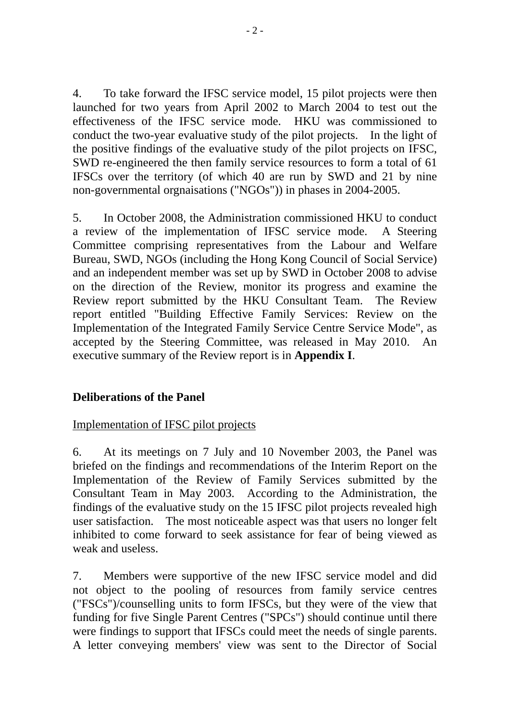4. To take forward the IFSC service model, 15 pilot projects were then launched for two years from April 2002 to March 2004 to test out the effectiveness of the IFSC service mode. HKU was commissioned to conduct the two-year evaluative study of the pilot projects. In the light of the positive findings of the evaluative study of the pilot projects on IFSC, SWD re-engineered the then family service resources to form a total of 61 IFSCs over the territory (of which 40 are run by SWD and 21 by nine non-governmental orgnaisations ("NGOs")) in phases in 2004-2005.

5. In October 2008, the Administration commissioned HKU to conduct a review of the implementation of IFSC service mode. A Steering Committee comprising representatives from the Labour and Welfare Bureau, SWD, NGOs (including the Hong Kong Council of Social Service) and an independent member was set up by SWD in October 2008 to advise on the direction of the Review, monitor its progress and examine the Review report submitted by the HKU Consultant Team. The Review report entitled "Building Effective Family Services: Review on the Implementation of the Integrated Family Service Centre Service Mode", as accepted by the Steering Committee, was released in May 2010. An executive summary of the Review report is in **Appendix I**.

# **Deliberations of the Panel**

# Implementation of IFSC pilot projects

6. At its meetings on 7 July and 10 November 2003, the Panel was briefed on the findings and recommendations of the Interim Report on the Implementation of the Review of Family Services submitted by the Consultant Team in May 2003. According to the Administration, the findings of the evaluative study on the 15 IFSC pilot projects revealed high user satisfaction. The most noticeable aspect was that users no longer felt inhibited to come forward to seek assistance for fear of being viewed as weak and useless.

7. Members were supportive of the new IFSC service model and did not object to the pooling of resources from family service centres ("FSCs")/counselling units to form IFSCs, but they were of the view that funding for five Single Parent Centres ("SPCs") should continue until there were findings to support that IFSCs could meet the needs of single parents. A letter conveying members' view was sent to the Director of Social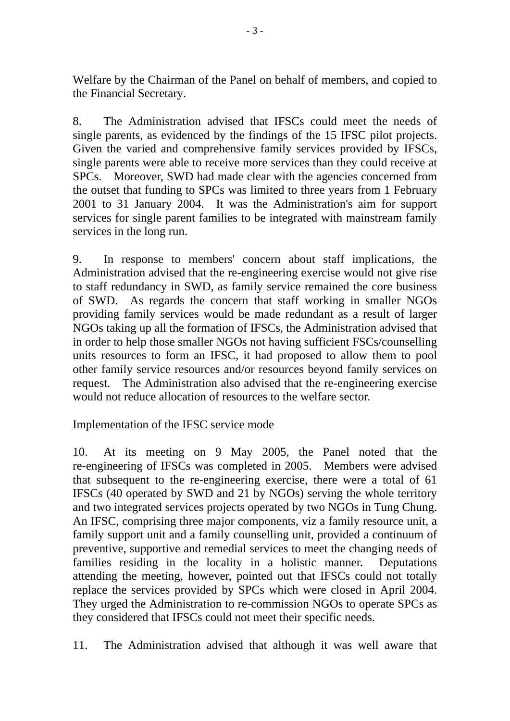Welfare by the Chairman of the Panel on behalf of members, and copied to the Financial Secretary.

8. The Administration advised that IFSCs could meet the needs of single parents, as evidenced by the findings of the 15 IFSC pilot projects. Given the varied and comprehensive family services provided by IFSCs, single parents were able to receive more services than they could receive at SPCs. Moreover, SWD had made clear with the agencies concerned from the outset that funding to SPCs was limited to three years from 1 February 2001 to 31 January 2004. It was the Administration's aim for support services for single parent families to be integrated with mainstream family services in the long run.

9. In response to members' concern about staff implications, the Administration advised that the re-engineering exercise would not give rise to staff redundancy in SWD, as family service remained the core business of SWD. As regards the concern that staff working in smaller NGOs providing family services would be made redundant as a result of larger NGOs taking up all the formation of IFSCs, the Administration advised that in order to help those smaller NGOs not having sufficient FSCs/counselling units resources to form an IFSC, it had proposed to allow them to pool other family service resources and/or resources beyond family services on request. The Administration also advised that the re-engineering exercise would not reduce allocation of resources to the welfare sector.

### Implementation of the IFSC service mode

10. At its meeting on 9 May 2005, the Panel noted that the re-engineering of IFSCs was completed in 2005. Members were advised that subsequent to the re-engineering exercise, there were a total of 61 IFSCs (40 operated by SWD and 21 by NGOs) serving the whole territory and two integrated services projects operated by two NGOs in Tung Chung. An IFSC, comprising three major components, viz a family resource unit, a family support unit and a family counselling unit, provided a continuum of preventive, supportive and remedial services to meet the changing needs of families residing in the locality in a holistic manner. Deputations attending the meeting, however, pointed out that IFSCs could not totally replace the services provided by SPCs which were closed in April 2004. They urged the Administration to re-commission NGOs to operate SPCs as they considered that IFSCs could not meet their specific needs.

11. The Administration advised that although it was well aware that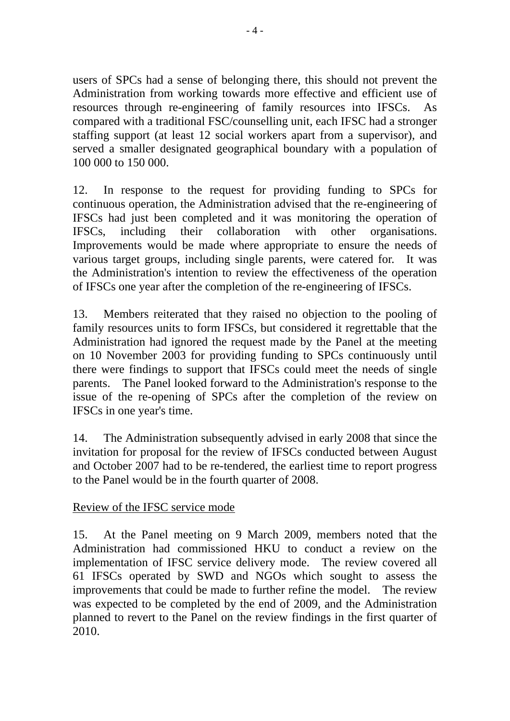users of SPCs had a sense of belonging there, this should not prevent the Administration from working towards more effective and efficient use of resources through re-engineering of family resources into IFSCs. As compared with a traditional FSC/counselling unit, each IFSC had a stronger staffing support (at least 12 social workers apart from a supervisor), and served a smaller designated geographical boundary with a population of 100,000 to 150,000.

12. In response to the request for providing funding to SPCs for continuous operation, the Administration advised that the re-engineering of IFSCs had just been completed and it was monitoring the operation of IFSCs, including their collaboration with other organisations. Improvements would be made where appropriate to ensure the needs of various target groups, including single parents, were catered for. It was the Administration's intention to review the effectiveness of the operation of IFSCs one year after the completion of the re-engineering of IFSCs.

13. Members reiterated that they raised no objection to the pooling of family resources units to form IFSCs, but considered it regrettable that the Administration had ignored the request made by the Panel at the meeting on 10 November 2003 for providing funding to SPCs continuously until there were findings to support that IFSCs could meet the needs of single parents. The Panel looked forward to the Administration's response to the issue of the re-opening of SPCs after the completion of the review on IFSCs in one year's time.

14. The Administration subsequently advised in early 2008 that since the invitation for proposal for the review of IFSCs conducted between August and October 2007 had to be re-tendered, the earliest time to report progress to the Panel would be in the fourth quarter of 2008.

# Review of the IFSC service mode

15. At the Panel meeting on 9 March 2009, members noted that the Administration had commissioned HKU to conduct a review on the implementation of IFSC service delivery mode. The review covered all 61 IFSCs operated by SWD and NGOs which sought to assess the improvements that could be made to further refine the model. The review was expected to be completed by the end of 2009, and the Administration planned to revert to the Panel on the review findings in the first quarter of 2010.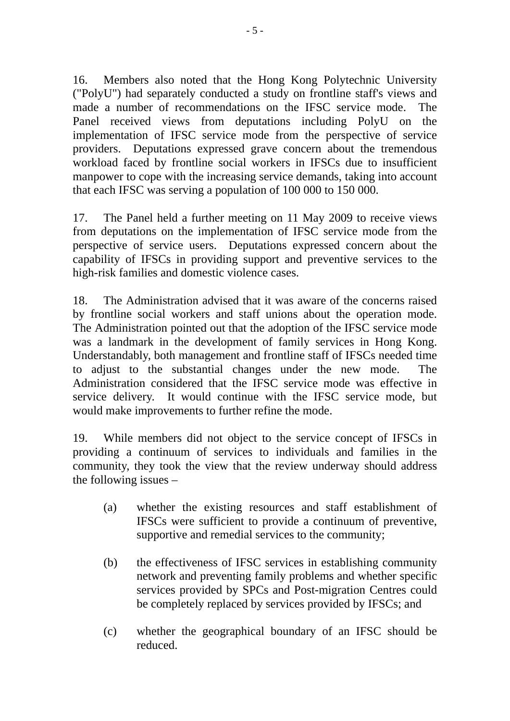16. Members also noted that the Hong Kong Polytechnic University ("PolyU") had separately conducted a study on frontline staff's views and made a number of recommendations on the IFSC service mode. The Panel received views from deputations including PolyU on the implementation of IFSC service mode from the perspective of service providers. Deputations expressed grave concern about the tremendous workload faced by frontline social workers in IFSCs due to insufficient manpower to cope with the increasing service demands, taking into account that each IFSC was serving a population of 100,000 to 150,000.

17. The Panel held a further meeting on 11 May 2009 to receive views from deputations on the implementation of IFSC service mode from the perspective of service users. Deputations expressed concern about the capability of IFSCs in providing support and preventive services to the high-risk families and domestic violence cases.

18. The Administration advised that it was aware of the concerns raised by frontline social workers and staff unions about the operation mode. The Administration pointed out that the adoption of the IFSC service mode was a landmark in the development of family services in Hong Kong. Understandably, both management and frontline staff of IFSCs needed time to adjust to the substantial changes under the new mode. The Administration considered that the IFSC service mode was effective in service delivery. It would continue with the IFSC service mode, but would make improvements to further refine the mode.

19. While members did not object to the service concept of IFSCs in providing a continuum of services to individuals and families in the community, they took the view that the review underway should address the following issues –

- (a) whether the existing resources and staff establishment of IFSCs were sufficient to provide a continuum of preventive, supportive and remedial services to the community;
- (b) the effectiveness of IFSC services in establishing community network and preventing family problems and whether specific services provided by SPCs and Post-migration Centres could be completely replaced by services provided by IFSCs; and
- (c) whether the geographical boundary of an IFSC should be reduced.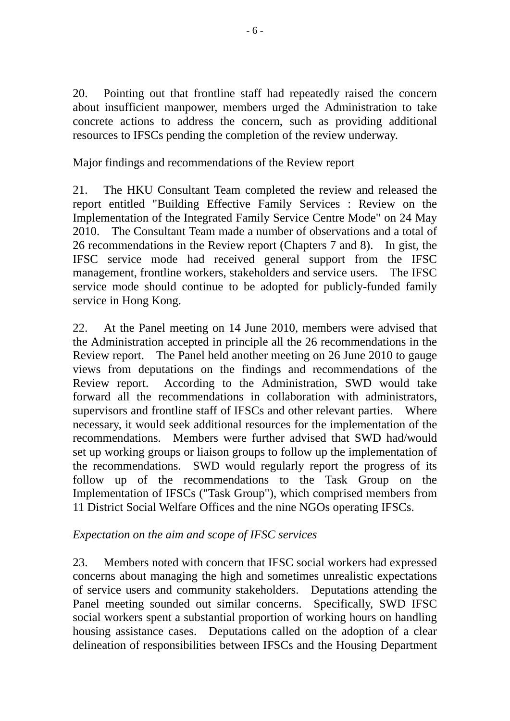20. Pointing out that frontline staff had repeatedly raised the concern about insufficient manpower, members urged the Administration to take concrete actions to address the concern, such as providing additional resources to IFSCs pending the completion of the review underway.

### Major findings and recommendations of the Review report

21. The HKU Consultant Team completed the review and released the report entitled "Building Effective Family Services : Review on the Implementation of the Integrated Family Service Centre Mode" on 24 May 2010. The Consultant Team made a number of observations and a total of 26 recommendations in the Review report (Chapters 7 and 8). In gist, the IFSC service mode had received general support from the IFSC management, frontline workers, stakeholders and service users. The IFSC service mode should continue to be adopted for publicly-funded family service in Hong Kong.

22. At the Panel meeting on 14 June 2010, members were advised that the Administration accepted in principle all the 26 recommendations in the Review report. The Panel held another meeting on 26 June 2010 to gauge views from deputations on the findings and recommendations of the Review report. According to the Administration, SWD would take forward all the recommendations in collaboration with administrators, supervisors and frontline staff of IFSCs and other relevant parties. Where necessary, it would seek additional resources for the implementation of the recommendations. Members were further advised that SWD had/would set up working groups or liaison groups to follow up the implementation of the recommendations. SWD would regularly report the progress of its follow up of the recommendations to the Task Group on the Implementation of IFSCs ("Task Group"), which comprised members from 11 District Social Welfare Offices and the nine NGOs operating IFSCs.

# *Expectation on the aim and scope of IFSC services*

23. Members noted with concern that IFSC social workers had expressed concerns about managing the high and sometimes unrealistic expectations of service users and community stakeholders. Deputations attending the Panel meeting sounded out similar concerns. Specifically, SWD IFSC social workers spent a substantial proportion of working hours on handling housing assistance cases. Deputations called on the adoption of a clear delineation of responsibilities between IFSCs and the Housing Department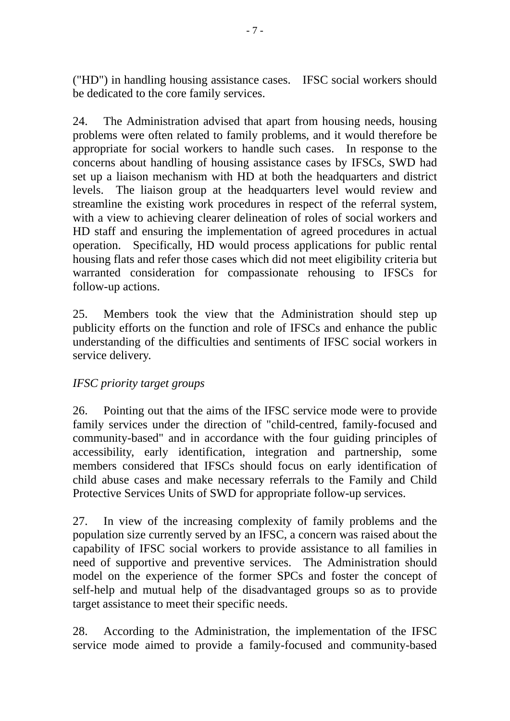("HD") in handling housing assistance cases. IFSC social workers should be dedicated to the core family services.

24. The Administration advised that apart from housing needs, housing problems were often related to family problems, and it would therefore be appropriate for social workers to handle such cases. In response to the concerns about handling of housing assistance cases by IFSCs, SWD had set up a liaison mechanism with HD at both the headquarters and district levels. The liaison group at the headquarters level would review and streamline the existing work procedures in respect of the referral system, with a view to achieving clearer delineation of roles of social workers and HD staff and ensuring the implementation of agreed procedures in actual operation. Specifically, HD would process applications for public rental housing flats and refer those cases which did not meet eligibility criteria but warranted consideration for compassionate rehousing to IFSCs for follow-up actions.

25. Members took the view that the Administration should step up publicity efforts on the function and role of IFSCs and enhance the public understanding of the difficulties and sentiments of IFSC social workers in service delivery.

# *IFSC priority target groups*

26. Pointing out that the aims of the IFSC service mode were to provide family services under the direction of "child-centred, family-focused and community-based" and in accordance with the four guiding principles of accessibility, early identification, integration and partnership, some members considered that IFSCs should focus on early identification of child abuse cases and make necessary referrals to the Family and Child Protective Services Units of SWD for appropriate follow-up services.

27. In view of the increasing complexity of family problems and the population size currently served by an IFSC, a concern was raised about the capability of IFSC social workers to provide assistance to all families in need of supportive and preventive services. The Administration should model on the experience of the former SPCs and foster the concept of self-help and mutual help of the disadvantaged groups so as to provide target assistance to meet their specific needs.

28. According to the Administration, the implementation of the IFSC service mode aimed to provide a family-focused and community-based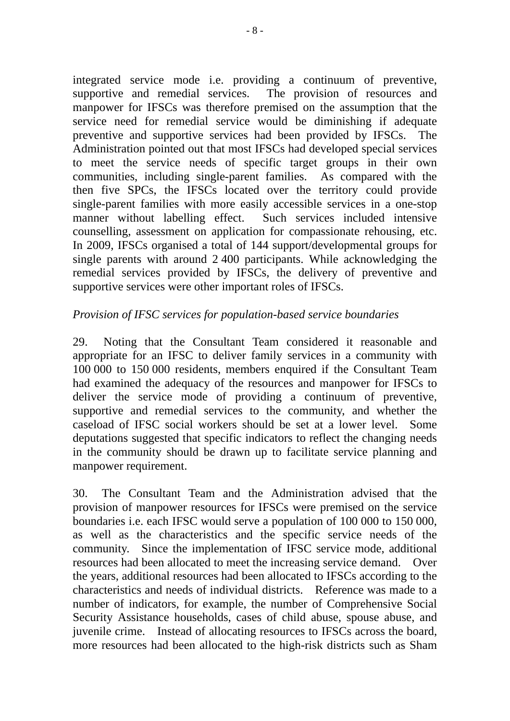integrated service mode i.e. providing a continuum of preventive, supportive and remedial services. The provision of resources and manpower for IFSCs was therefore premised on the assumption that the service need for remedial service would be diminishing if adequate preventive and supportive services had been provided by IFSCs. The Administration pointed out that most IFSCs had developed special services to meet the service needs of specific target groups in their own communities, including single-parent families. As compared with the then five SPCs, the IFSCs located over the territory could provide single-parent families with more easily accessible services in a one-stop manner without labelling effect. Such services included intensive counselling, assessment on application for compassionate rehousing, etc. In 2009, IFSCs organised a total of 144 support/developmental groups for single parents with around 2,400 participants. While acknowledging the remedial services provided by IFSCs, the delivery of preventive and supportive services were other important roles of IFSCs.

# *Provision of IFSC services for population-based service boundaries*

29. Noting that the Consultant Team considered it reasonable and appropriate for an IFSC to deliver family services in a community with 100,000 to 150,000 residents, members enquired if the Consultant Team had examined the adequacy of the resources and manpower for IFSCs to deliver the service mode of providing a continuum of preventive, supportive and remedial services to the community, and whether the caseload of IFSC social workers should be set at a lower level. Some deputations suggested that specific indicators to reflect the changing needs in the community should be drawn up to facilitate service planning and manpower requirement.

30. The Consultant Team and the Administration advised that the provision of manpower resources for IFSCs were premised on the service boundaries i.e. each IFSC would serve a population of 100,000 to 150,000, as well as the characteristics and the specific service needs of the community. Since the implementation of IFSC service mode, additional resources had been allocated to meet the increasing service demand. Over the years, additional resources had been allocated to IFSCs according to the characteristics and needs of individual districts. Reference was made to a number of indicators, for example, the number of Comprehensive Social Security Assistance households, cases of child abuse, spouse abuse, and juvenile crime. Instead of allocating resources to IFSCs across the board, more resources had been allocated to the high-risk districts such as Sham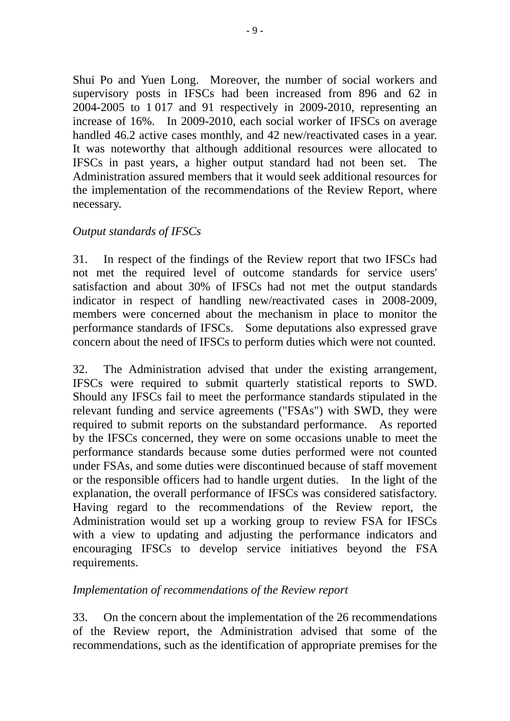Shui Po and Yuen Long. Moreover, the number of social workers and supervisory posts in IFSCs had been increased from 896 and 62 in 2004-2005 to 1,017 and 91 respectively in 2009-2010, representing an increase of 16%. In 2009-2010, each social worker of IFSCs on average handled 46.2 active cases monthly, and 42 new/reactivated cases in a year. It was noteworthy that although additional resources were allocated to IFSCs in past years, a higher output standard had not been set. The Administration assured members that it would seek additional resources for the implementation of the recommendations of the Review Report, where necessary.

### *Output standards of IFSCs*

31. In respect of the findings of the Review report that two IFSCs had not met the required level of outcome standards for service users' satisfaction and about 30% of IFSCs had not met the output standards indicator in respect of handling new/reactivated cases in 2008-2009, members were concerned about the mechanism in place to monitor the performance standards of IFSCs. Some deputations also expressed grave concern about the need of IFSCs to perform duties which were not counted.

32. The Administration advised that under the existing arrangement, IFSCs were required to submit quarterly statistical reports to SWD. Should any IFSCs fail to meet the performance standards stipulated in the relevant funding and service agreements ("FSAs") with SWD, they were required to submit reports on the substandard performance. As reported by the IFSCs concerned, they were on some occasions unable to meet the performance standards because some duties performed were not counted under FSAs, and some duties were discontinued because of staff movement or the responsible officers had to handle urgent duties. In the light of the explanation, the overall performance of IFSCs was considered satisfactory. Having regard to the recommendations of the Review report, the Administration would set up a working group to review FSA for IFSCs with a view to updating and adjusting the performance indicators and encouraging IFSCs to develop service initiatives beyond the FSA requirements.

### *Implementation of recommendations of the Review report*

33. On the concern about the implementation of the 26 recommendations of the Review report, the Administration advised that some of the recommendations, such as the identification of appropriate premises for the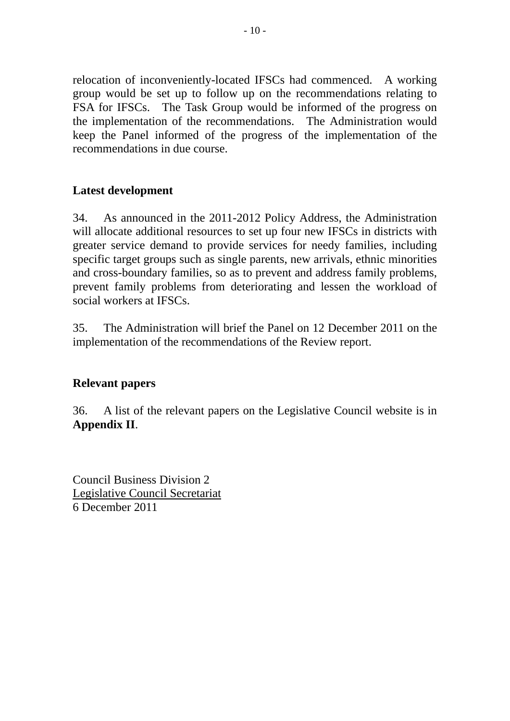relocation of inconveniently-located IFSCs had commenced. A working group would be set up to follow up on the recommendations relating to FSA for IFSCs. The Task Group would be informed of the progress on the implementation of the recommendations. The Administration would keep the Panel informed of the progress of the implementation of the recommendations in due course.

# **Latest development**

34. As announced in the 2011-2012 Policy Address, the Administration will allocate additional resources to set up four new IFSCs in districts with greater service demand to provide services for needy families, including specific target groups such as single parents, new arrivals, ethnic minorities and cross-boundary families, so as to prevent and address family problems, prevent family problems from deteriorating and lessen the workload of social workers at IFSCs.

35. The Administration will brief the Panel on 12 December 2011 on the implementation of the recommendations of the Review report.

### **Relevant papers**

36. A list of the relevant papers on the Legislative Council website is in **Appendix II**.

Council Business Division 2 Legislative Council Secretariat 6 December 2011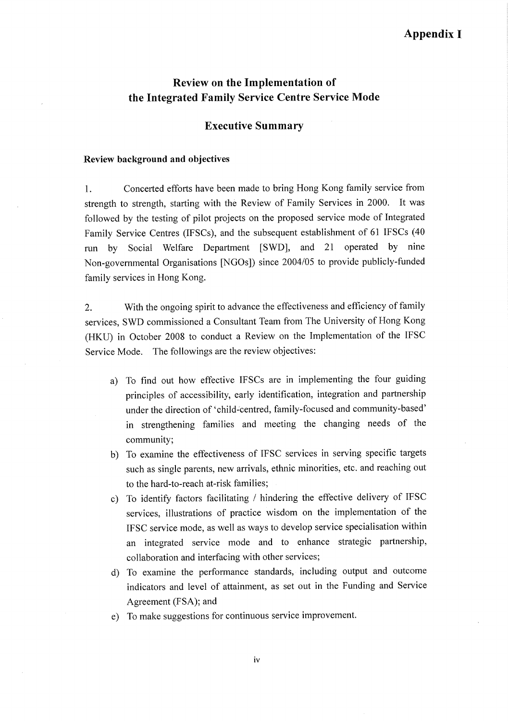### **Appendix I**

### Review on the Implementation of the Integrated Family Service Centre Service Mode

### **Executive Summary**

#### Review background and objectives

Concerted efforts have been made to bring Hong Kong family service from 1. strength to strength, starting with the Review of Family Services in 2000. It was followed by the testing of pilot projects on the proposed service mode of Integrated Family Service Centres (IFSCs), and the subsequent establishment of 61 IFSCs (40 run by Social Welfare Department [SWD], and 21 operated by nine Non-governmental Organisations [NGOs]) since 2004/05 to provide publicly-funded family services in Hong Kong.

With the ongoing spirit to advance the effectiveness and efficiency of family 2. services, SWD commissioned a Consultant Team from The University of Hong Kong (HKU) in October 2008 to conduct a Review on the Implementation of the IFSC Service Mode. The followings are the review objectives:

- a) To find out how effective IFSCs are in implementing the four guiding principles of accessibility, early identification, integration and partnership under the direction of 'child-centred, family-focused and community-based' in strengthening families and meeting the changing needs of the community;
- b) To examine the effectiveness of IFSC services in serving specific targets such as single parents, new arrivals, ethnic minorities, etc. and reaching out to the hard-to-reach at-risk families;
- c) To identify factors facilitating / hindering the effective delivery of IFSC services, illustrations of practice wisdom on the implementation of the IFSC service mode, as well as ways to develop service specialisation within an integrated service mode and to enhance strategic partnership, collaboration and interfacing with other services;
- d) To examine the performance standards, including output and outcome indicators and level of attainment, as set out in the Funding and Service Agreement (FSA); and
- To make suggestions for continuous service improvement.  $e)$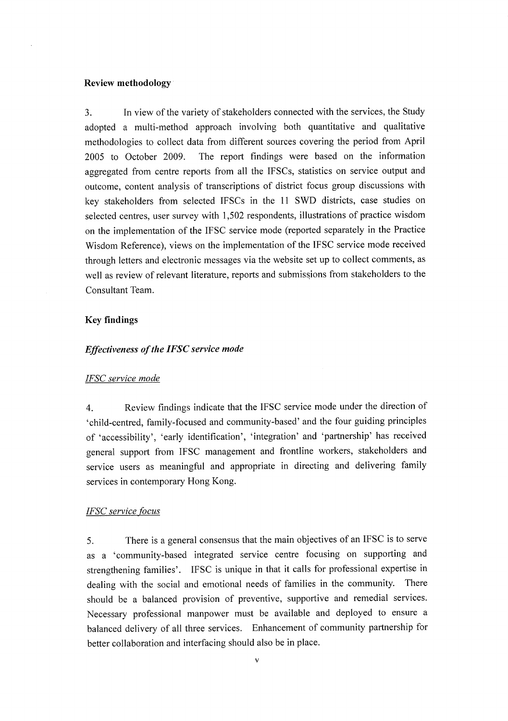#### **Review methodology**

3. In view of the variety of stakeholders connected with the services, the Study adopted a multi-method approach involving both quantitative and qualitative methodologies to collect data from different sources covering the period from April The report findings were based on the information 2005 to October 2009. aggregated from centre reports from all the IFSCs, statistics on service output and outcome, content analysis of transcriptions of district focus group discussions with key stakeholders from selected IFSCs in the 11 SWD districts, case studies on selected centres, user survey with 1,502 respondents, illustrations of practice wisdom on the implementation of the IFSC service mode (reported separately in the Practice Wisdom Reference), views on the implementation of the IFSC service mode received through letters and electronic messages via the website set up to collect comments, as well as review of relevant literature, reports and submissions from stakeholders to the Consultant Team.

#### **Key findings**

#### **Effectiveness of the IFSC service mode**

#### IFSC service mode

Review findings indicate that the IFSC service mode under the direction of  $4.$ 'child-centred, family-focused and community-based' and the four guiding principles of 'accessibility', 'early identification', 'integration' and 'partnership' has received general support from IFSC management and frontline workers, stakeholders and service users as meaningful and appropriate in directing and delivering family services in contemporary Hong Kong.

#### **IFSC** service focus

There is a general consensus that the main objectives of an IFSC is to serve  $5.$ as a 'community-based integrated service centre focusing on supporting and strengthening families'. IFSC is unique in that it calls for professional expertise in dealing with the social and emotional needs of families in the community. There should be a balanced provision of preventive, supportive and remedial services. Necessary professional manpower must be available and deployed to ensure a balanced delivery of all three services. Enhancement of community partnership for better collaboration and interfacing should also be in place.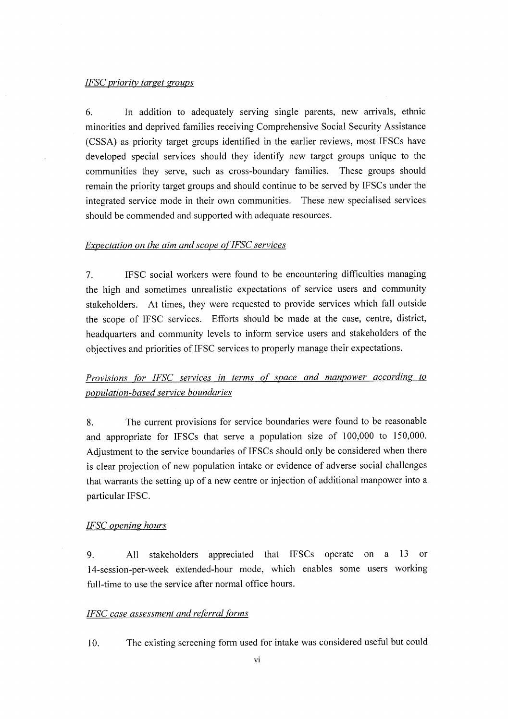#### **IFSC** priority target groups

6. In addition to adequately serving single parents, new arrivals, ethnic minorities and deprived families receiving Comprehensive Social Security Assistance (CSSA) as priority target groups identified in the earlier reviews, most IFSCs have developed special services should they identify new target groups unique to the communities they serve, such as cross-boundary families. These groups should remain the priority target groups and should continue to be served by IFSCs under the integrated service mode in their own communities. These new specialised services should be commended and supported with adequate resources.

#### Expectation on the aim and scope of IFSC services

IFSC social workers were found to be encountering difficulties managing  $7<sub>1</sub>$ the high and sometimes unrealistic expectations of service users and community stakeholders. At times, they were requested to provide services which fall outside the scope of IFSC services. Efforts should be made at the case, centre, district, headquarters and community levels to inform service users and stakeholders of the objectives and priorities of IFSC services to properly manage their expectations.

Provisions for IFSC services in terms of space and manpower according to population-based service boundaries

The current provisions for service boundaries were found to be reasonable 8. and appropriate for IFSCs that serve a population size of 100,000 to 150,000. Adjustment to the service boundaries of IFSCs should only be considered when there is clear projection of new population intake or evidence of adverse social challenges that warrants the setting up of a new centre or injection of additional manpower into a particular IFSC.

#### **IFSC** opening hours

stakeholders appreciated that IFSCs operate on a 13 or 9. All 14-session-per-week extended-hour mode, which enables some users working full-time to use the service after normal office hours.

### **IFSC** case assessment and referral forms

The existing screening form used for intake was considered useful but could 10.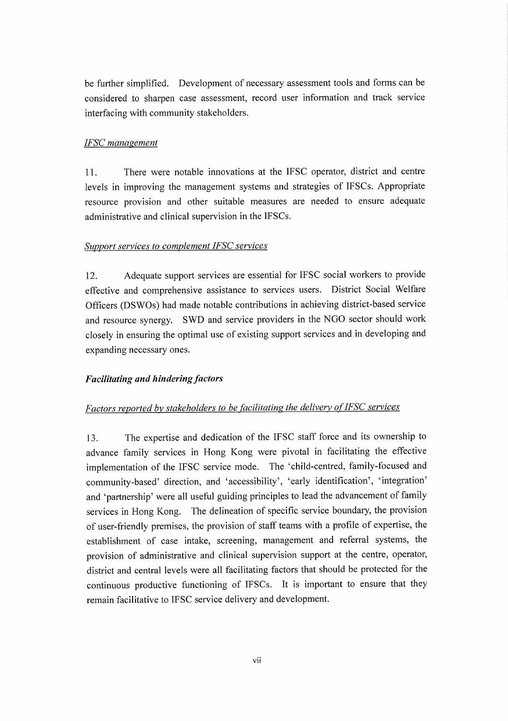be further simplified. Development of necessary assessment tools and forms can be considered to sharpen case assessment, record user information and track service interfacing with community stakeholders.

#### **IFSC** management

 $11.$ There were notable innovations at the IFSC operator, district and centre levels in improving the management systems and strategies of IFSCs. Appropriate resource provision and other suitable measures are needed to ensure adequate administrative and clinical supervision in the IFSCs.

#### Support services to complement IFSC services

Adequate support services are essential for IFSC social workers to provide 12. effective and comprehensive assistance to services users. District Social Welfare Officers (DSWOs) had made notable contributions in achieving district-based service and resource synergy. SWD and service providers in the NGO sector should work closely in ensuring the optimal use of existing support services and in developing and expanding necessary ones.

#### **Facilitating and hindering factors**

### Factors reported by stakeholders to be facilitating the delivery of IFSC services

The expertise and dedication of the IFSC staff force and its ownership to 13. advance family services in Hong Kong were pivotal in facilitating the effective implementation of the IFSC service mode. The 'child-centred, family-focused and community-based' direction, and 'accessibility', 'early identification', 'integration' and 'partnership' were all useful guiding principles to lead the advancement of family services in Hong Kong. The delineation of specific service boundary, the provision of user-friendly premises, the provision of staff teams with a profile of expertise, the establishment of case intake, screening, management and referral systems, the provision of administrative and clinical supervision support at the centre, operator, district and central levels were all facilitating factors that should be protected for the continuous productive functioning of IFSCs. It is important to ensure that they remain facilitative to IFSC service delivery and development.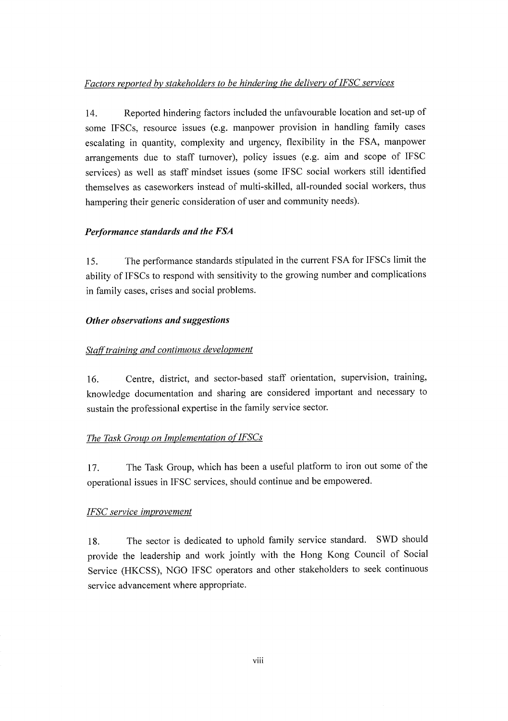### Factors reported by stakeholders to be hindering the delivery of IFSC services

Reported hindering factors included the unfavourable location and set-up of 14. some IFSCs, resource issues (e.g. manpower provision in handling family cases escalating in quantity, complexity and urgency, flexibility in the FSA, manpower arrangements due to staff turnover), policy issues (e.g. aim and scope of IFSC services) as well as staff mindset issues (some IFSC social workers still identified themselves as caseworkers instead of multi-skilled, all-rounded social workers, thus hampering their generic consideration of user and community needs).

### Performance standards and the FSA

The performance standards stipulated in the current FSA for IFSCs limit the 15. ability of IFSCs to respond with sensitivity to the growing number and complications in family cases, crises and social problems.

### Other observations and suggestions

### Staff training and continuous development

Centre, district, and sector-based staff orientation, supervision, training, 16. knowledge documentation and sharing are considered important and necessary to sustain the professional expertise in the family service sector.

### The Task Group on Implementation of IFSCs

The Task Group, which has been a useful platform to iron out some of the 17. operational issues in IFSC services, should continue and be empowered.

### IFSC service improvement

The sector is dedicated to uphold family service standard. SWD should 18. provide the leadership and work jointly with the Hong Kong Council of Social Service (HKCSS), NGO IFSC operators and other stakeholders to seek continuous service advancement where appropriate.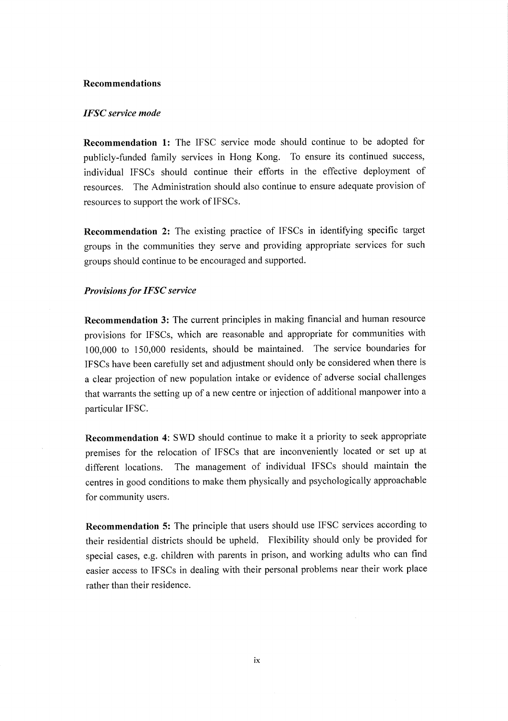#### **Recommendations**

#### **IFSC** service mode

**Recommendation 1:** The IFSC service mode should continue to be adopted for publicly-funded family services in Hong Kong. To ensure its continued success, individual IFSCs should continue their efforts in the effective deployment of resources. The Administration should also continue to ensure adequate provision of resources to support the work of IFSCs.

Recommendation 2: The existing practice of IFSCs in identifying specific target groups in the communities they serve and providing appropriate services for such groups should continue to be encouraged and supported.

#### **Provisions for IFSC service**

Recommendation 3: The current principles in making financial and human resource provisions for IFSCs, which are reasonable and appropriate for communities with 100,000 to 150,000 residents, should be maintained. The service boundaries for IFSCs have been carefully set and adjustment should only be considered when there is a clear projection of new population intake or evidence of adverse social challenges that warrants the setting up of a new centre or injection of additional manpower into a particular IFSC.

Recommendation 4: SWD should continue to make it a priority to seek appropriate premises for the relocation of IFSCs that are inconveniently located or set up at The management of individual IFSCs should maintain the different locations. centres in good conditions to make them physically and psychologically approachable for community users.

Recommendation 5: The principle that users should use IFSC services according to their residential districts should be upheld. Flexibility should only be provided for special cases, e.g. children with parents in prison, and working adults who can find easier access to IFSCs in dealing with their personal problems near their work place rather than their residence.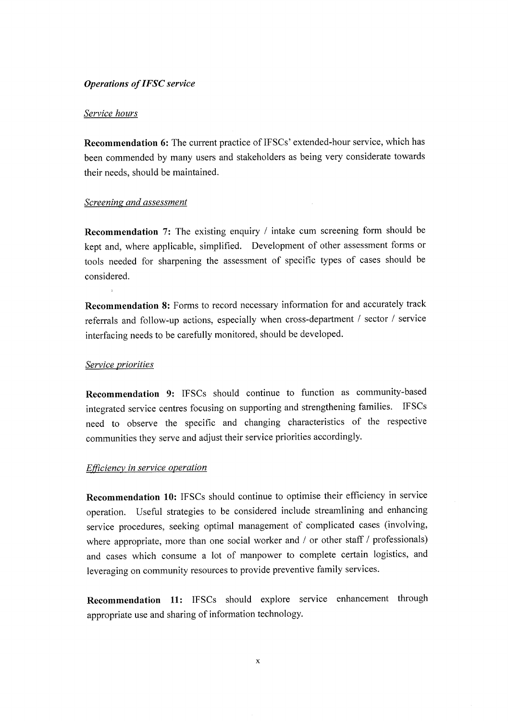#### **Operations of IFSC service**

#### Service hours

**Recommendation 6:** The current practice of IFSCs' extended-hour service, which has been commended by many users and stakeholders as being very considerate towards their needs, should be maintained.

#### Screening and assessment

Recommendation 7: The existing enquiry / intake cum screening form should be kept and, where applicable, simplified. Development of other assessment forms or tools needed for sharpening the assessment of specific types of cases should be considered.

Recommendation 8: Forms to record necessary information for and accurately track referrals and follow-up actions, especially when cross-department / sector / service interfacing needs to be carefully monitored, should be developed.

#### Service priorities

Recommendation 9: IFSCs should continue to function as community-based integrated service centres focusing on supporting and strengthening families. IFSCs need to observe the specific and changing characteristics of the respective communities they serve and adjust their service priorities accordingly.

#### Efficiency in service operation

Recommendation 10: IFSCs should continue to optimise their efficiency in service operation. Useful strategies to be considered include streamlining and enhancing service procedures, seeking optimal management of complicated cases (involving, where appropriate, more than one social worker and / or other staff / professionals) and cases which consume a lot of manpower to complete certain logistics, and leveraging on community resources to provide preventive family services.

Recommendation 11: IFSCs should explore service enhancement through appropriate use and sharing of information technology.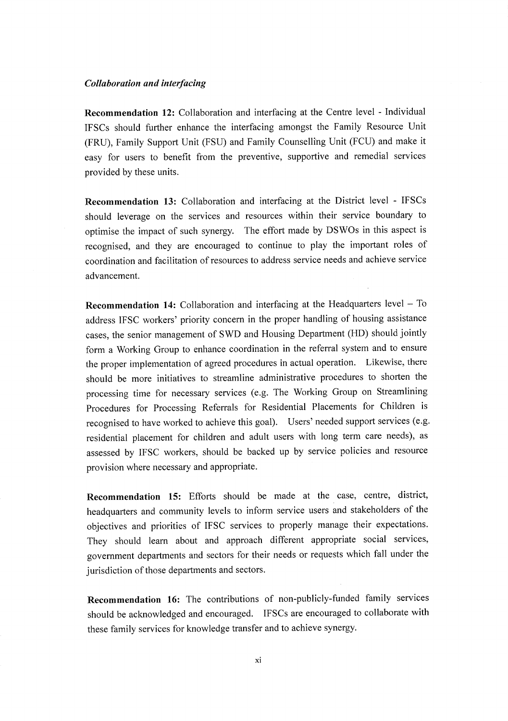#### **Collaboration and interfacing**

**Recommendation 12:** Collaboration and interfacing at the Centre level - Individual IFSCs should further enhance the interfacing amongst the Family Resource Unit (FRU), Family Support Unit (FSU) and Family Counselling Unit (FCU) and make it easy for users to benefit from the preventive, supportive and remedial services provided by these units.

Recommendation 13: Collaboration and interfacing at the District level - IFSCs should leverage on the services and resources within their service boundary to optimise the impact of such synergy. The effort made by DSWOs in this aspect is recognised, and they are encouraged to continue to play the important roles of coordination and facilitation of resources to address service needs and achieve service advancement.

Recommendation 14: Collaboration and interfacing at the Headquarters level - To address IFSC workers' priority concern in the proper handling of housing assistance cases, the senior management of SWD and Housing Department (HD) should jointly form a Working Group to enhance coordination in the referral system and to ensure the proper implementation of agreed procedures in actual operation. Likewise, there should be more initiatives to streamline administrative procedures to shorten the processing time for necessary services (e.g. The Working Group on Streamlining Procedures for Processing Referrals for Residential Placements for Children is recognised to have worked to achieve this goal). Users' needed support services (e.g. residential placement for children and adult users with long term care needs), as assessed by IFSC workers, should be backed up by service policies and resource provision where necessary and appropriate.

Recommendation 15: Efforts should be made at the case, centre, district, headquarters and community levels to inform service users and stakeholders of the objectives and priorities of IFSC services to properly manage their expectations. They should learn about and approach different appropriate social services, government departments and sectors for their needs or requests which fall under the jurisdiction of those departments and sectors.

Recommendation 16: The contributions of non-publicly-funded family services should be acknowledged and encouraged. IFSCs are encouraged to collaborate with these family services for knowledge transfer and to achieve synergy.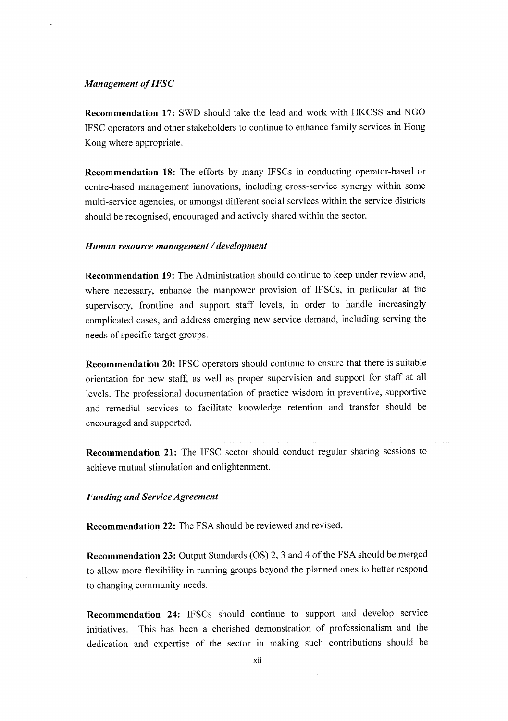#### **Management of IFSC**

**Recommendation 17:** SWD should take the lead and work with HKCSS and NGO IFSC operators and other stakeholders to continue to enhance family services in Hong Kong where appropriate.

Recommendation 18: The efforts by many IFSCs in conducting operator-based or centre-based management innovations, including cross-service synergy within some multi-service agencies, or amongst different social services within the service districts should be recognised, encouraged and actively shared within the sector.

#### Human resource management / development

**Recommendation 19:** The Administration should continue to keep under review and, where necessary, enhance the manpower provision of IFSCs, in particular at the supervisory, frontline and support staff levels, in order to handle increasingly complicated cases, and address emerging new service demand, including serving the needs of specific target groups.

Recommendation 20: IFSC operators should continue to ensure that there is suitable orientation for new staff, as well as proper supervision and support for staff at all levels. The professional documentation of practice wisdom in preventive, supportive and remedial services to facilitate knowledge retention and transfer should be encouraged and supported.

Recommendation 21: The IFSC sector should conduct regular sharing sessions to achieve mutual stimulation and enlightenment.

#### **Funding and Service Agreement**

Recommendation 22: The FSA should be reviewed and revised.

Recommendation 23: Output Standards (OS) 2, 3 and 4 of the FSA should be merged to allow more flexibility in running groups beyond the planned ones to better respond to changing community needs.

Recommendation 24: IFSCs should continue to support and develop service initiatives. This has been a cherished demonstration of professionalism and the dedication and expertise of the sector in making such contributions should be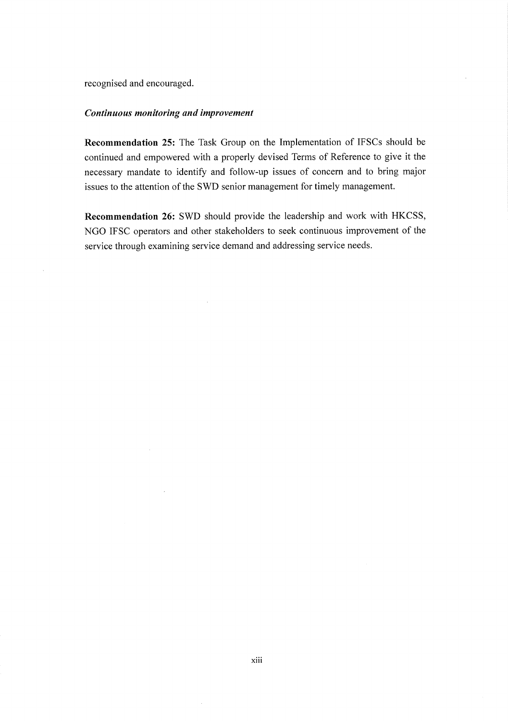recognised and encouraged.

 $\bar{\mathcal{A}}$ 

#### Continuous monitoring and improvement

Recommendation 25: The Task Group on the Implementation of IFSCs should be continued and empowered with a properly devised Terms of Reference to give it the necessary mandate to identify and follow-up issues of concern and to bring major issues to the attention of the SWD senior management for timely management.

Recommendation 26: SWD should provide the leadership and work with HKCSS, NGO IFSC operators and other stakeholders to seek continuous improvement of the service through examining service demand and addressing service needs.

 $\bar{\mathcal{A}}$